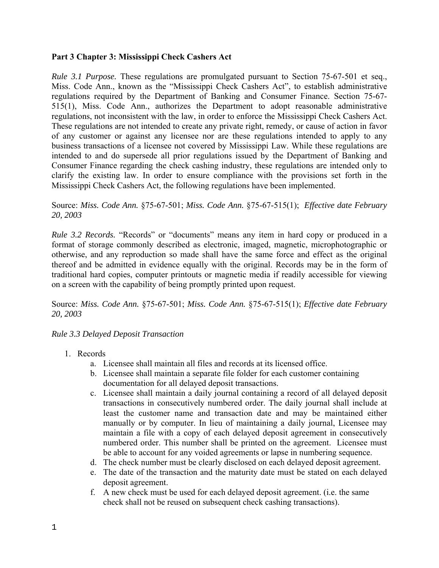### **Part 3 Chapter 3: Mississippi Check Cashers Act**

*Rule 3.1 Purpose.* These regulations are promulgated pursuant to Section 75-67-501 et seq., Miss. Code Ann., known as the "Mississippi Check Cashers Act", to establish administrative regulations required by the Department of Banking and Consumer Finance. Section 75-67- 515(1), Miss. Code Ann., authorizes the Department to adopt reasonable administrative regulations, not inconsistent with the law, in order to enforce the Mississippi Check Cashers Act. These regulations are not intended to create any private right, remedy, or cause of action in favor of any customer or against any licensee nor are these regulations intended to apply to any business transactions of a licensee not covered by Mississippi Law. While these regulations are intended to and do supersede all prior regulations issued by the Department of Banking and Consumer Finance regarding the check cashing industry, these regulations are intended only to clarify the existing law. In order to ensure compliance with the provisions set forth in the Mississippi Check Cashers Act, the following regulations have been implemented.

Source: *Miss. Code Ann.* §75-67-501; *Miss. Code Ann.* §75-67-515(1); *Effective date February 20, 2003* 

*Rule 3.2 Records.* "Records" or "documents" means any item in hard copy or produced in a format of storage commonly described as electronic, imaged, magnetic, microphotographic or otherwise, and any reproduction so made shall have the same force and effect as the original thereof and be admitted in evidence equally with the original. Records may be in the form of traditional hard copies, computer printouts or magnetic media if readily accessible for viewing on a screen with the capability of being promptly printed upon request.

Source: *Miss. Code Ann.* §75-67-501; *Miss. Code Ann.* §75-67-515(1); *Effective date February 20, 2003*

#### *Rule 3.3 Delayed Deposit Transaction*

- 1. Records
	- a. Licensee shall maintain all files and records at its licensed office.
	- b. Licensee shall maintain a separate file folder for each customer containing documentation for all delayed deposit transactions.
	- c. Licensee shall maintain a daily journal containing a record of all delayed deposit transactions in consecutively numbered order. The daily journal shall include at least the customer name and transaction date and may be maintained either manually or by computer. In lieu of maintaining a daily journal, Licensee may maintain a file with a copy of each delayed deposit agreement in consecutively numbered order. This number shall be printed on the agreement. Licensee must be able to account for any voided agreements or lapse in numbering sequence.
	- d. The check number must be clearly disclosed on each delayed deposit agreement.
	- e. The date of the transaction and the maturity date must be stated on each delayed deposit agreement.
	- f. A new check must be used for each delayed deposit agreement. (i.e. the same check shall not be reused on subsequent check cashing transactions).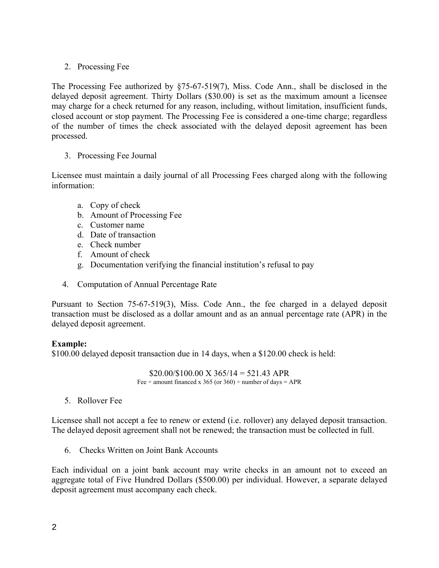# 2. Processing Fee

The Processing Fee authorized by §75-67-519(7), Miss. Code Ann., shall be disclosed in the delayed deposit agreement. Thirty Dollars (\$30.00) is set as the maximum amount a licensee may charge for a check returned for any reason, including, without limitation, insufficient funds, closed account or stop payment. The Processing Fee is considered a one-time charge; regardless of the number of times the check associated with the delayed deposit agreement has been processed.

# 3. Processing Fee Journal

Licensee must maintain a daily journal of all Processing Fees charged along with the following information:

- a. Copy of check
- b. Amount of Processing Fee
- c. Customer name
- d. Date of transaction
- e. Check number
- f. Amount of check
- g. Documentation verifying the financial institution's refusal to pay
- 4. Computation of Annual Percentage Rate

Pursuant to Section 75-67-519(3), Miss. Code Ann., the fee charged in a delayed deposit transaction must be disclosed as a dollar amount and as an annual percentage rate (APR) in the delayed deposit agreement.

## **Example:**

\$100.00 delayed deposit transaction due in 14 days, when a \$120.00 check is held:

 $$20.00/$100.00$  X  $365/14 = 521.43$  APR Fee  $\div$  amount financed x 365 (or 360)  $\div$  number of days = APR

5. Rollover Fee

Licensee shall not accept a fee to renew or extend (i.e. rollover) any delayed deposit transaction. The delayed deposit agreement shall not be renewed; the transaction must be collected in full.

6. Checks Written on Joint Bank Accounts

Each individual on a joint bank account may write checks in an amount not to exceed an aggregate total of Five Hundred Dollars (\$500.00) per individual. However, a separate delayed deposit agreement must accompany each check.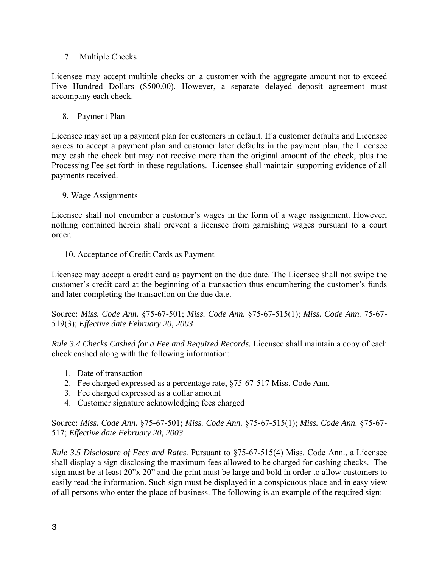## 7. Multiple Checks

Licensee may accept multiple checks on a customer with the aggregate amount not to exceed Five Hundred Dollars (\$500.00). However, a separate delayed deposit agreement must accompany each check.

8. Payment Plan

Licensee may set up a payment plan for customers in default. If a customer defaults and Licensee agrees to accept a payment plan and customer later defaults in the payment plan, the Licensee may cash the check but may not receive more than the original amount of the check, plus the Processing Fee set forth in these regulations. Licensee shall maintain supporting evidence of all payments received.

### 9. Wage Assignments

Licensee shall not encumber a customer's wages in the form of a wage assignment. However, nothing contained herein shall prevent a licensee from garnishing wages pursuant to a court order.

10. Acceptance of Credit Cards as Payment

Licensee may accept a credit card as payment on the due date. The Licensee shall not swipe the customer's credit card at the beginning of a transaction thus encumbering the customer's funds and later completing the transaction on the due date.

Source: *Miss. Code Ann.* §75-67-501; *Miss. Code Ann.* §75-67-515(1); *Miss. Code Ann.* 75-67- 519(3); *Effective date February 20, 2003*

*Rule 3.4 Checks Cashed for a Fee and Required Records.* Licensee shall maintain a copy of each check cashed along with the following information:

- 1. Date of transaction
- 2. Fee charged expressed as a percentage rate, §75-67-517 Miss. Code Ann.
- 3. Fee charged expressed as a dollar amount
- 4. Customer signature acknowledging fees charged

Source: *Miss. Code Ann.* §75-67-501; *Miss. Code Ann.* §75-67-515(1); *Miss. Code Ann.* §75-67- 517; *Effective date February 20, 2003*

*Rule 3.5 Disclosure of Fees and Rates.* Pursuant to §75-67-515(4) Miss. Code Ann., a Licensee shall display a sign disclosing the maximum fees allowed to be charged for cashing checks. The sign must be at least 20"x 20" and the print must be large and bold in order to allow customers to easily read the information. Such sign must be displayed in a conspicuous place and in easy view of all persons who enter the place of business. The following is an example of the required sign: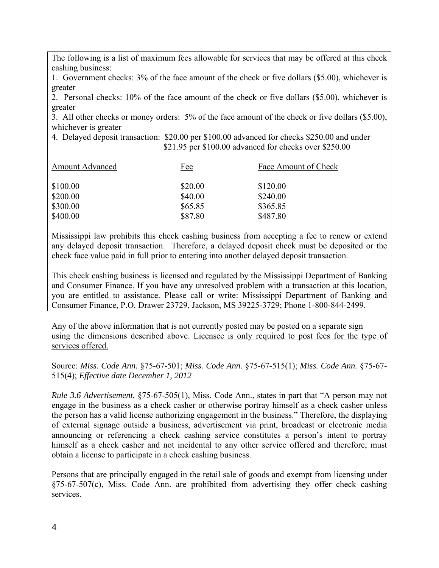The following is a list of maximum fees allowable for services that may be offered at this check cashing business:

1. Government checks: 3% of the face amount of the check or five dollars (\$5.00), whichever is greater

2. Personal checks: 10% of the face amount of the check or five dollars (\$5.00), whichever is greater

3. All other checks or money orders: 5% of the face amount of the check or five dollars (\$5.00), whichever is greater

4. Delayed deposit transaction: \$20.00 per \$100.00 advanced for checks \$250.00 and under \$21.95 per \$100.00 advanced for checks over \$250.00

| <b>Amount Advanced</b> | Fee     | Face Amount of Check |
|------------------------|---------|----------------------|
| \$100.00               | \$20.00 | \$120.00             |
| \$200.00               | \$40.00 | \$240.00             |
| \$300.00               | \$65.85 | \$365.85             |
| \$400.00               | \$87.80 | \$487.80             |

Mississippi law prohibits this check cashing business from accepting a fee to renew or extend any delayed deposit transaction. Therefore, a delayed deposit check must be deposited or the check face value paid in full prior to entering into another delayed deposit transaction.

This check cashing business is licensed and regulated by the Mississippi Department of Banking and Consumer Finance. If you have any unresolved problem with a transaction at this location, you are entitled to assistance. Please call or write: Mississippi Department of Banking and Consumer Finance, P.O. Drawer 23729, Jackson, MS 39225-3729; Phone 1-800-844-2499.

Any of the above information that is not currently posted may be posted on a separate sign using the dimensions described above. Licensee is only required to post fees for the type of services offered.

Source: *Miss. Code Ann.* §75-67-501; *Miss. Code Ann.* §75-67-515(1); *Miss. Code Ann.* §75-67- 515(4); *Effective date December 1, 2012*

*Rule 3.6 Advertisement.* §75-67-505(1), Miss. Code Ann., states in part that "A person may not engage in the business as a check casher or otherwise portray himself as a check casher unless the person has a valid license authorizing engagement in the business." Therefore, the displaying of external signage outside a business, advertisement via print, broadcast or electronic media announcing or referencing a check cashing service constitutes a person's intent to portray himself as a check casher and not incidental to any other service offered and therefore, must obtain a license to participate in a check cashing business.

Persons that are principally engaged in the retail sale of goods and exempt from licensing under §75-67-507(c), Miss. Code Ann. are prohibited from advertising they offer check cashing services.